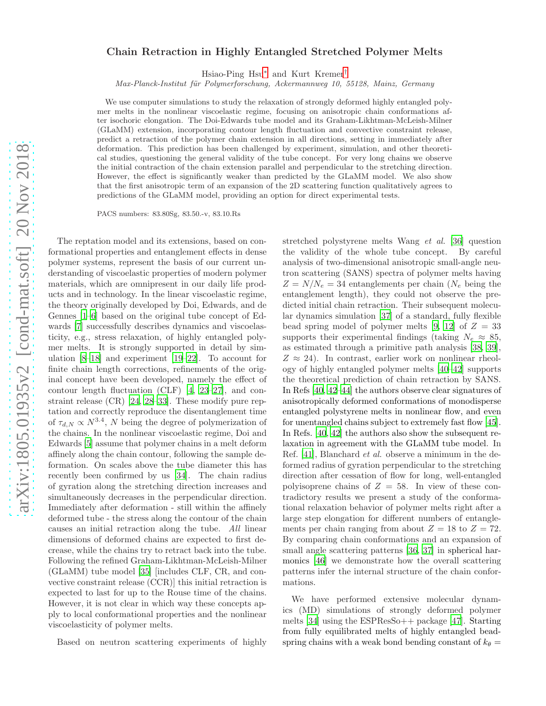## Chain Retraction in Highly Entangled Stretched Polymer Melts

Hsiao-Ping Hsu[∗](#page-4-0) and Kurt Kremer[†](#page-4-1)

*Max-Planck-Institut f¨ur Polymerforschung, Ackermannweg 10, 55128, Mainz, Germany*

We use computer simulations to study the relaxation of strongly deformed highly entangled polymer melts in the nonlinear viscoelastic regime, focusing on anisotropic chain conformations after isochoric elongation. The Doi-Edwards tube model and its Graham-Likhtman-McLeish-Milner (GLaMM) extension, incorporating contour length fluctuation and convective constraint release, predict a retraction of the polymer chain extension in all directions, setting in immediately after deformation. This prediction has been challenged by experiment, simulation, and other theoretical studies, questioning the general validity of the tube concept. For very long chains we observe the initial contraction of the chain extension parallel and perpendicular to the stretching direction. However, the effect is significantly weaker than predicted by the GLaMM model. We also show that the first anisotropic term of an expansion of the 2D scattering function qualitatively agrees to predictions of the GLaMM model, providing an option for direct experimental tests.

PACS numbers: 83.80Sg, 83.50.-v, 83.10.Rs

The reptation model and its extensions, based on conformational properties and entanglement effects in dense polymer systems, represent the basis of our current understanding of viscoelastic properties of modern polymer materials, which are omnipresent in our daily life products and in technology. In the linear viscoelastic regime, the theory originally developed by Doi, Edwards, and de Gennes [\[1](#page-4-2)[–6](#page-4-3)] based on the original tube concept of Edwards [\[7\]](#page-4-4) successfully describes dynamics and viscoelasticity, e.g., stress relaxation, of highly entangled polymer melts. It is strongly supported in detail by simulation [\[8](#page-4-5)[–18\]](#page-4-6) and experiment [\[19](#page-4-7)[–22\]](#page-4-8). To account for finite chain length corrections, refinements of the original concept have been developed, namely the effect of contour length fluctuation (CLF) [\[4](#page-4-9), [23](#page-4-10)[–27\]](#page-4-11), and constraint release (CR) [\[24](#page-4-12), [28](#page-4-13)[–33](#page-4-14)]. These modify pure reptation and correctly reproduce the disentanglement time of  $\tau_{d,N} \propto N^{3.4}$ , N being the degree of polymerization of the chains. In the nonlinear viscoelastic regime, Doi and Edwards [\[5\]](#page-4-15) assume that polymer chains in a melt deform affinely along the chain contour, following the sample deformation. On scales above the tube diameter this has recently been confirmed by us [\[34](#page-4-16)]. The chain radius of gyration along the stretching direction increases and simultaneously decreases in the perpendicular direction. Immediately after deformation - still within the affinely deformed tube - the stress along the contour of the chain causes an initial retraction along the tube. All linear dimensions of deformed chains are expected to first decrease, while the chains try to retract back into the tube. Following the refined Graham-Likhtman-McLeish-Milner (GLaMM) tube model [\[35\]](#page-4-17) [includes CLF, CR, and convective constraint release (CCR)] this initial retraction is expected to last for up to the Rouse time of the chains. However, it is not clear in which way these concepts apply to local conformational properties and the nonlinear viscoelasticity of polymer melts.

Based on neutron scattering experiments of highly

stretched polystyrene melts Wang et al. [\[36\]](#page-4-18) question the validity of the whole tube concept. By careful analysis of two-dimensional anisotropic small-angle neutron scattering (SANS) spectra of polymer melts having  $Z = N/N_e = 34$  entanglements per chain ( $N_e$  being the entanglement length), they could not observe the predicted initial chain retraction. Their subsequent molecular dynamics simulation [\[37\]](#page-4-19) of a standard, fully flexible bead spring model of polymer melts [\[9](#page-4-20), [12\]](#page-4-21) of  $Z = 33$ supports their experimental findings (taking  $N_e \approx 85$ , as estimated through a primitive path analysis [\[38,](#page-4-22) [39\]](#page-4-23),  $Z \approx 24$ ). In contrast, earlier work on nonlinear rheology of highly entangled polymer melts [\[40](#page-4-24)[–42](#page-4-25)] supports the theoretical prediction of chain retraction by SANS. In Refs [\[40,](#page-4-24) [42](#page-4-25)[–44\]](#page-4-26) the authors observe clear signatures of anisotropically deformed conformations of monodisperse entangled polystyrene melts in nonlinear flow, and even for unentangled chains subject to extremely fast flow [\[45\]](#page-4-27). In Refs. [\[40](#page-4-24), [42\]](#page-4-25) the authors also show the subsequent relaxation in agreement with the GLaMM tube model. In Ref. [\[41\]](#page-4-28), Blanchard et al. observe a minimum in the deformed radius of gyration perpendicular to the stretching direction after cessation of flow for long, well-entangled polyisoprene chains of  $Z = 58$ . In view of these contradictory results we present a study of the conformational relaxation behavior of polymer melts right after a large step elongation for different numbers of entanglements per chain ranging from about  $Z = 18$  to  $Z = 72$ . By comparing chain conformations and an expansion of small angle scattering patterns [\[36](#page-4-18), [37\]](#page-4-19) in spherical harmonics [\[46](#page-5-0)] we demonstrate how the overall scattering patterns infer the internal structure of the chain conformations.

We have performed extensive molecular dynamics (MD) simulations of strongly deformed polymer melts [\[34\]](#page-4-16) using the  $ESPResSo++$  package [\[47\]](#page-5-1). Starting from fully equilibrated melts of highly entangled beadspring chains with a weak bond bending constant of  $k_{\theta} =$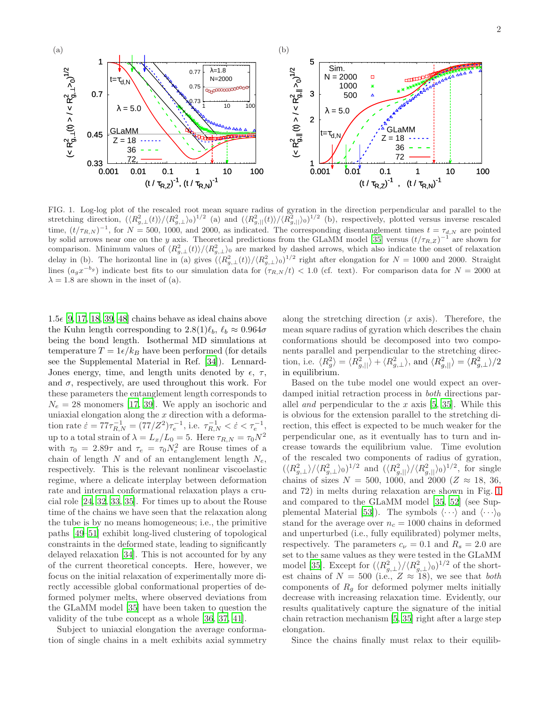

<span id="page-1-0"></span>FIG. 1. Log-log plot of the rescaled root mean square radius of gyration in the direction perpendicular and parallel to the stretching direction,  $(\langle R_{g,\perp}^2(t) \rangle / \langle R_{g,\perp}^2 \rangle_0)^{1/2}$  (a) and  $(\langle R_{g,||}^2(t) \rangle / \langle R_{g,||}^2 \rangle_0)^{1/2}$  (b), respectively, plotted versus inverse rescaled time,  $(t/\tau_{R,N})^{-1}$ , for  $N = 500$ , 1000, and 2000, as indicated. The corresponding disentanglement times  $t = \tau_{d,N}$  are pointed by solid arrows near one on the y axis. Theoretical predictions from the GLaMM model [\[35](#page-4-17)] versus  $(t/\tau_{R,Z})^{-1}$  are shown for comparison. Minimum values of  $\langle R_{g,\perp}^2(t)\rangle/\langle R_{g,\perp}^2\rangle_0$  are marked by dashed arrows, which also indicate the onset of relaxation delay in (b). The horizontal line in (a) gives  $(\langle R_{g,\perp}^2(t) \rangle / \langle R_{g,\perp}^2 \rangle_0)^{1/2}$  right after elongation for  $N = 1000$  and 2000. Straight lines  $(a_gx^{-b_g})$  indicate best fits to our simulation data for  $(\tau_{R,N}/t)$  < 1.0 (cf. text). For comparison data for  $N = 2000$  at  $\lambda = 1.8$  are shown in the inset of (a).

 $1.5\epsilon$  [\[9](#page-4-20), [17,](#page-4-29) [18,](#page-4-6) [39](#page-4-23), [48\]](#page-5-2) chains behave as ideal chains above the Kuhn length corresponding to  $2.8(1)\ell_b$ ,  $\ell_b \approx 0.964\sigma$ being the bond length. Isothermal MD simulations at temperature  $T = 1\epsilon/k_B$  have been performed (for details see the Supplemental Material in Ref. [\[34](#page-4-16)]). Lennard-Jones energy, time, and length units denoted by  $\epsilon$ ,  $\tau$ , and  $\sigma$ , respectively, are used throughout this work. For these parameters the entanglement length corresponds to  $N_e = 28$  monomers [\[17](#page-4-29), [39](#page-4-23)]. We apply an isochoric and uniaxial elongation along the  $x$  direction with a deformation rate  $\dot{\varepsilon} = 77\tau_{R,N}^{-1} = (77/Z^2)\tau_e^{-1}$ , i.e.  $\tau_{R,N}^{-1} < \dot{\varepsilon} < \tau_e^{-1}$ , up to a total strain of  $\lambda = L_x/L_0 = 5$ . Here  $\tau_{R,N} = \tau_0 N^2$ with  $\tau_0 = 2.89\tau$  and  $\tau_e = \tau_0 N_e^2$  are Rouse times of a chain of length  $N$  and of an entanglement length  $N_e$ , respectively. This is the relevant nonlinear viscoelastic regime, where a delicate interplay between deformation rate and internal conformational relaxation plays a crucial role [\[24](#page-4-12), [32,](#page-4-30) [33](#page-4-14), [35\]](#page-4-17). For times up to about the Rouse time of the chains we have seen that the relaxation along the tube is by no means homogeneous; i.e., the primitive paths [\[49](#page-5-3)[–51](#page-5-4)] exhibit long-lived clustering of topological constraints in the deformed state, leading to significantly delayed relaxation [\[34\]](#page-4-16). This is not accounted for by any of the current theoretical concepts. Here, however, we focus on the initial relaxation of experimentally more directly accessible global conformational properties of deformed polymer melts, where observed deviations from the GLaMM model [\[35\]](#page-4-17) have been taken to question the validity of the tube concept as a whole [\[36](#page-4-18), [37](#page-4-19), [41](#page-4-28)].

Subject to uniaxial elongation the average conformation of single chains in a melt exhibits axial symmetry along the stretching direction  $(x \text{ axis})$ . Therefore, the mean square radius of gyration which describes the chain conformations should be decomposed into two components parallel and perpendicular to the stretching direction, i.e.  $\langle R_g^2 \rangle = \langle R_{g,||}^2 \rangle + \langle R_{g,\perp}^2 \rangle$ , and  $\langle R_{g,||}^2 \rangle = \langle R_{g,\perp}^2 \rangle/2$ in equilibrium.

Based on the tube model one would expect an overdamped initial retraction process in both directions parallel *and* perpendicular to the x axis  $[5, 35]$  $[5, 35]$ . While this is obvious for the extension parallel to the stretching direction, this effect is expected to be much weaker for the perpendicular one, as it eventually has to turn and increase towards the equilibrium value. Time evolution of the rescaled two components of radius of gyration,  $(\langle R_{g,\perp}^2 \rangle / \langle R_{g,\perp}^2 \rangle_0)^{1/2}$  and  $(\langle R_{g,||}^2 \rangle / \langle R_{g,||}^2 \rangle_0)^{1/2}$ , for single chains of sizes  $N = 500, 1000,$  and 2000 ( $Z \approx 18, 36,$ and 72) in melts during relaxation are shown in Fig. [1](#page-1-0) and compared to the GLaMM model [\[35](#page-4-17), [52\]](#page-5-5) (see Sup-plemental Material [\[53](#page-5-6)]). The symbols  $\langle \cdots \rangle$  and  $\langle \cdots \rangle_0$ stand for the average over  $n_c = 1000$  chains in deformed and unperturbed (i.e., fully equilibrated) polymer melts, respectively. The parameters  $c_{\nu} = 0.1$  and  $R_s = 2.0$  are set to the same values as they were tested in the GLaMM model [\[35](#page-4-17)]. Except for  $(\langle R_{g,\perp}^2 \rangle / \langle R_{g,\perp}^2 \rangle_0)^{1/2}$  of the shortest chains of  $N = 500$  (i.e.,  $Z \approx 18$ ), we see that *both* components of  $R_q$  for deformed polymer melts initially decrease with increasing relaxation time. Evidently, our results qualitatively capture the signature of the initial chain retraction mechanism [\[5](#page-4-15), [35\]](#page-4-17) right after a large step elongation.

Since the chains finally must relax to their equilib-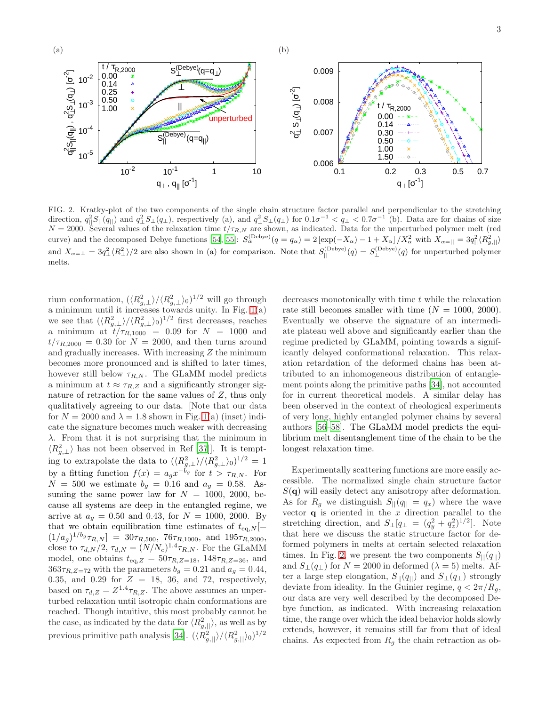

<span id="page-2-0"></span>FIG. 2. Kratky-plot of the two components of the single chain structure factor parallel and perpendicular to the stretching direction,  $q_{\parallel}^2 S_{\parallel}(q_{\parallel})$  and  $q_{\perp}^2 S_{\perp}(q_{\perp})$ , respectively (a), and  $q_{\perp}^2 S_{\perp}(q_{\perp})$  for  $0.1\sigma^{-1} < q_{\perp} < 0.7\sigma^{-1}$  (b). Data are for chains of size  $N = 2000$ . Several values of the relaxation time  $t/\tau_{R,N}$  are shown, as indicated. Data for the unperturbed polymer melt (red curve) and the decomposed Debye functions [\[54,](#page-5-7) [55\]](#page-5-8):  $S_{\alpha}^{(\text{Debye})}(q = q_{\alpha}) = 2 [\exp(-X_{\alpha}) - 1 + X_{\alpha}] / X_{\alpha}^2$  with  $X_{\alpha=||} = 3q_{||}^2 \langle R_{g,||}^2 \rangle$ and  $X_{\alpha=\perp} = 3q_{\perp}^2 \langle R_{\perp}^2 \rangle/2$  are also shown in (a) for comparison. Note that  $S_{\parallel}^{(Debye)}(q) = S_{\perp}^{(Debye)}(q)$  for unperturbed polymer melts.

rium conformation,  $(\langle R_{g,\perp}^2 \rangle / \langle R_{g,\perp}^2 \rangle_0)^{1/2}$  will go through a minimum until it increases towards unity. In Fig. [1\(](#page-1-0)a) we see that  $(\langle R_{g,\perp}^2 \rangle / \langle R_{g,\perp}^2 \rangle_0)^{1/2}$  first decreases, reaches a minimum at  $t/\tau_{R,1000}$  = 0.09 for  $N = 1000$  and  $t/\tau_{R,2000} = 0.30$  for  $N = 2000$ , and then turns around and gradually increases. With increasing  $Z$  the minimum becomes more pronounced and is shifted to later times, however still below  $\tau_{R,N}$ . The GLaMM model predicts a minimum at  $t \approx \tau_{R,Z}$  and a significantly stronger signature of retraction for the same values of Z, thus only qualitatively agreeing to our data. [Note that our data for  $N = 2000$  and  $\lambda = 1.8$  shown in Fig. [1\(](#page-1-0)a) (inset) indicate the signature becomes much weaker with decreasing  $\lambda$ . From that it is not surprising that the minimum in  $\langle R_{g,\perp}^2 \rangle$  has not been observed in Ref [\[37\]](#page-4-19)]. It is tempting to extrapolate the data to  $(\langle R_{g,\perp}^2 \rangle / \langle R_{g,\perp}^2 \rangle_0)^{1/2} = 1$ by a fitting function  $f(x) = a_g x^{-b_g}$  for  $t > \tau_{R,N}$ . For  $N = 500$  we estimate  $b_g = 0.16$  and  $a_g = 0.58$ . Assuming the same power law for  $N = 1000, 2000,$  because all systems are deep in the entangled regime, we arrive at  $a_q = 0.50$  and 0.43, for  $N = 1000, 2000$ . By that we obtain equilibration time estimates of  $t_{eq,N}$  [=  $(1/a_g)^{1/b_g} \tau_{R,N}$ ] = 30 $\tau_{R,500}$ , 76 $\tau_{R,1000}$ , and 195 $\tau_{R,2000}$ , close to  $\tau_{d,N}/2$ ,  $\tau_{d,N} = (N/N_e)^{1.4} \tau_{R,N}$ . For the GLaMM model, one obtains  $t_{eq,Z} = 50\tau_{R,Z=18}$ , 148 $\tau_{R,Z=36}$ , and  $363\tau_{R,Z=72}$  with the parameters  $b_g = 0.21$  and  $a_g = 0.44$ , 0.35, and 0.29 for  $Z = 18$ , 36, and 72, respectively, based on  $\tau_{d,Z} = Z^{1.4} \tau_{R,Z}$ . The above assumes an unperturbed relaxation until isotropic chain conformations are reached. Though intuitive, this most probably cannot be the case, as indicated by the data for  $\langle R_{g,||}^2 \rangle$ , as well as by previous primitive path analysis [\[34\]](#page-4-16).  $(\langle R_{g,||}^2 \rangle / \langle R_{g,||}^2 \rangle_0)^{1/2}$ 

decreases monotonically with time  $t$  while the relaxation rate still becomes smaller with time  $(N = 1000, 2000)$ . Eventually we observe the signature of an intermediate plateau well above and significantly earlier than the regime predicted by GLaMM, pointing towards a significantly delayed conformational relaxation. This relaxation retardation of the deformed chains has been attributed to an inhomogeneous distribution of entanglement points along the primitive paths [\[34\]](#page-4-16), not accounted for in current theoretical models. A similar delay has been observed in the context of rheological experiments of very long, highly entangled polymer chains by several authors [\[56](#page-5-9)[–58](#page-5-10)]. The GLaMM model predicts the equilibrium melt disentanglement time of the chain to be the longest relaxation time.

Experimentally scattering functions are more easily accessible. The normalized single chain structure factor  $S(\mathbf{q})$  will easily detect any anisotropy after deformation. As for  $R_q$  we distinguish  $S_{||}(q_{||} = q_x)$  where the wave vector  $\bf{q}$  is oriented in the x direction parallel to the stretching direction, and  $S_{\perp}[q_{\perp} = (q_y^2 + q_z^2)^{1/2}]$ . Note that here we discuss the static structure factor for deformed polymers in melts at certain selected relaxation times. In Fig. [2,](#page-2-0) we present the two components  $S_{\parallel}(q_{\parallel})$ and  $S_{\perp}(q_{\perp})$  for  $N = 2000$  in deformed  $(\lambda = 5)$  melts. After a large step elongation,  $S_{\parallel}(q_{\parallel})$  and  $S_{\perp}(q_{\perp})$  strongly deviate from ideality. In the Guinier regime,  $q < 2\pi/R_q$ , our data are very well described by the decomposed Debye function, as indicated. With increasing relaxation time, the range over which the ideal behavior holds slowly extends, however, it remains still far from that of ideal chains. As expected from  $R<sub>q</sub>$  the chain retraction as ob-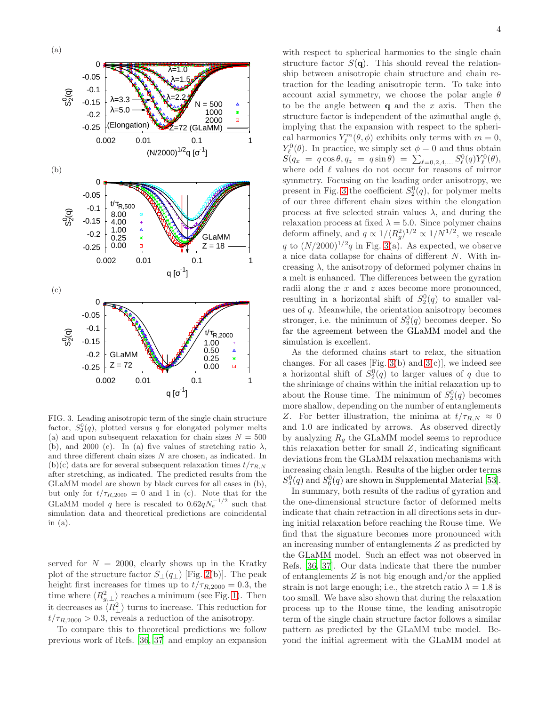

<span id="page-3-0"></span>FIG. 3. Leading anisotropic term of the single chain structure factor,  $S_2^0(q)$ , plotted versus q for elongated polymer melts (a) and upon subsequent relaxation for chain sizes  $N = 500$ (b), and 2000 (c). In (a) five values of stretching ratio  $\lambda$ , and three different chain sizes N are chosen, as indicated. In (b)(c) data are for several subsequent relaxation times  $t/\tau_{R,N}$ after stretching, as indicated. The predicted results from the GLaMM model are shown by black curves for all cases in (b), but only for  $t/\tau_{R,2000} = 0$  and 1 in (c). Note that for the GLaMM model q here is rescaled to  $0.62qN_e^{-1/2}$  such that simulation data and theoretical predictions are coincidental in (a).

served for  $N = 2000$ , clearly shows up in the Kratky plot of the structure factor  $S_{\perp}(q_{\perp})$  [Fig. [2\(](#page-2-0)b)]. The peak height first increases for times up to  $t/\tau_{R,2000} = 0.3$ , the time where  $\langle R_{g,\perp}^2 \rangle$  reaches a minimum (see Fig. [1\)](#page-1-0). Then it decreases as  $\langle R_{\perp}^2 \rangle$  turns to increase. This reduction for  $t/\tau_{R,2000} > 0.3$ , reveals a reduction of the anisotropy.

To compare this to theoretical predictions we follow previous work of Refs. [\[36,](#page-4-18) [37\]](#page-4-19) and employ an expansion 4

with respect to spherical harmonics to the single chain structure factor  $S(\mathbf{q})$ . This should reveal the relationship between anisotropic chain structure and chain retraction for the leading anisotropic term. To take into account axial symmetry, we choose the polar angle  $\theta$ to be the angle between  $q$  and the x axis. Then the structure factor is independent of the azimuthal angle  $\phi$ , implying that the expansion with respect to the spherical harmonics  $Y_{\ell}^{m}(\theta, \phi)$  exhibits only terms with  $m = 0$ ,  $Y_{\ell}^{0}(\theta)$ . In practice, we simply set  $\phi = 0$  and thus obtain  $S(q_x = q \cos \theta, q_z = q \sin \theta) = \sum_{\ell=0,2,4,...} S^0_{\ell}(q) Y^0_{\ell}(\theta),$ where odd  $\ell$  values do not occur for reasons of mirror symmetry. Focusing on the leading order anisotropy, we present in Fig. [3](#page-3-0) the coefficient  $S_2^0(q)$ , for polymer melts of our three different chain sizes within the elongation process at five selected strain values  $\lambda$ , and during the relaxation process at fixed  $\lambda = 5.0$ . Since polymer chains deform affinely, and  $q \propto 1/(R_g^2)^{1/2} \propto 1/N^{1/2}$ , we rescale q to  $(N/2000)^{1/2}q$  in Fig. [3\(](#page-3-0)a). As expected, we observe a nice data collapse for chains of different N. With increasing  $\lambda$ , the anisotropy of deformed polymer chains in a melt is enhanced. The differences between the gyration radii along the  $x$  and  $z$  axes become more pronounced, resulting in a horizontal shift of  $S_2^0(q)$  to smaller values of q. Meanwhile, the orientation anisotropy becomes stronger, i.e. the minimum of  $S_2^0(q)$  becomes deeper. So far the agreement between the GLaMM model and the simulation is excellent.

As the deformed chains start to relax, the situation changes. For all cases [Fig. [3\(](#page-3-0)b) and  $3(c)$ ], we indeed see a horizontal shift of  $S_2^0(q)$  to larger values of q due to the shrinkage of chains within the initial relaxation up to about the Rouse time. The minimum of  $S_2^0(q)$  becomes more shallow, depending on the number of entanglements Z. For better illustration, the minima at  $t/\tau_{R,N} \approx 0$ and 1.0 are indicated by arrows. As observed directly by analyzing  $R<sub>g</sub>$  the GLaMM model seems to reproduce this relaxation better for small  $Z$ , indicating significant deviations from the GLaMM relaxation mechanisms with increasing chain length. Results of the higher order terms  $S_4^0(q)$  and  $S_6^0(q)$  are shown in Supplemental Material [\[53\]](#page-5-6).

In summary, both results of the radius of gyration and the one-dimensional structure factor of deformed melts indicate that chain retraction in all directions sets in during initial relaxation before reaching the Rouse time. We find that the signature becomes more pronounced with an increasing number of entanglements Z as predicted by the GLaMM model. Such an effect was not observed in Refs. [\[36,](#page-4-18) [37](#page-4-19)]. Our data indicate that there the number of entanglements  $Z$  is not big enough and/or the applied strain is not large enough; i.e., the stretch ratio  $\lambda = 1.8$  is too small. We have also shown that during the relaxation process up to the Rouse time, the leading anisotropic term of the single chain structure factor follows a similar pattern as predicted by the GLaMM tube model. Beyond the initial agreement with the GLaMM model at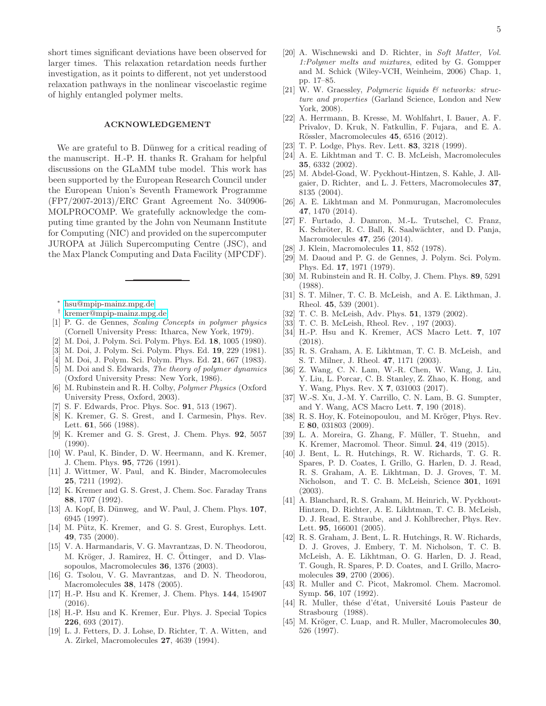short times significant deviations have been observed for larger times. This relaxation retardation needs further investigation, as it points to different, not yet understood relaxation pathways in the nonlinear viscoelastic regime of highly entangled polymer melts.

## ACKNOWLEDGEMENT

We are grateful to B. Dünweg for a critical reading of the manuscript. H.-P. H. thanks R. Graham for helpful discussions on the GLaMM tube model. This work has been supported by the European Research Council under the European Union's Seventh Framework Programme (FP7/2007-2013)/ERC Grant Agreement No. 340906- MOLPROCOMP. We gratefully acknowledge the computing time granted by the John von Neumann Institute for Computing (NIC) and provided on the supercomputer JUROPA at Jülich Supercomputing Centre (JSC), and the Max Planck Computing and Data Facility (MPCDF).

- ∗ [hsu@mpip-mainz.mpg.de](mailto:hsu@mpip-mainz.mpg.de)
- <span id="page-4-1"></span><span id="page-4-0"></span>† [kremer@mpip-mainz.mpg.de](mailto:kremer@mpip-mainz.mpg.de)
- <span id="page-4-2"></span>[1] P. G. de Gennes, *Scaling Concepts in polymer physics* (Cornell University Press: Itharca, New York, 1979).
- [2] M. Doi, J. Polym. Sci. Polym. Phys. Ed. 18, 1005 (1980).
- [3] M. Doi, J. Polym. Sci. Polym. Phys. Ed. 19, 229 (1981).
- <span id="page-4-9"></span>[4] M. Doi, J. Polym. Sci. Polym. Phys. Ed. 21, 667 (1983).
- <span id="page-4-15"></span>[5] M. Doi and S. Edwards, *The theory of polymer dynamics* (Oxford University Press: New York, 1986).
- <span id="page-4-3"></span>[6] M. Rubinstein and R. H. Colby, *Polymer Physics* (Oxford University Press, Oxford, 2003).
- <span id="page-4-4"></span>[7] S. F. Edwards, Proc. Phys. Soc. 91, 513 (1967).
- <span id="page-4-5"></span>[8] K. Kremer, G. S. Grest, and I. Carmesin, Phys. Rev. Lett. 61, 566 (1988).
- <span id="page-4-20"></span>[9] K. Kremer and G. S. Grest, J. Chem. Phys. 92, 5057 (1990).
- [10] W. Paul, K. Binder, D. W. Heermann, and K. Kremer, J. Chem. Phys. 95, 7726 (1991).
- [11] J. Wittmer, W. Paul, and K. Binder, Macromolecules 25, 7211 (1992).
- <span id="page-4-21"></span>[12] K. Kremer and G. S. Grest, J. Chem. Soc. Faraday Trans 88, 1707 (1992).
- [13] A. Kopf, B. Dünweg, and W. Paul, J. Chem. Phys. 107, 6945 (1997).
- [14] M. Pütz, K. Kremer, and G. S. Grest, Europhys. Lett. 49, 735 (2000).
- [15] V. A. Harmandaris, V. G. Mavrantzas, D. N. Theodorou, M. Kröger, J. Ramirez, H. C. Öttinger, and D. Vlassopoulos, Macromolecules 36, 1376 (2003).
- [16] G. Tsolou, V. G. Mavrantzas, and D. N. Theodorou, Macromolecules 38, 1478 (2005).
- <span id="page-4-29"></span>[17] H.-P. Hsu and K. Kremer, J. Chem. Phys. 144, 154907 (2016).
- <span id="page-4-6"></span>[18] H.-P. Hsu and K. Kremer, Eur. Phys. J. Special Topics 226, 693 (2017).
- <span id="page-4-7"></span>[19] L. J. Fetters, D. J. Lohse, D. Richter, T. A. Witten, and A. Zirkel, Macromolecules 27, 4639 (1994).
- [20] A. Wischnewski and D. Richter, in *Soft Matter, Vol. 1:Polymer melts and mixtures*, edited by G. Gompper and M. Schick (Wiley-VCH, Weinheim, 2006) Chap. 1, pp. 17–85.
- [21] W. W. Graessley, *Polymeric liquids & networks: structure and properties* (Garland Science, London and New York, 2008).
- <span id="page-4-8"></span>[22] A. Herrmann, B. Kresse, M. Wohlfahrt, I. Bauer, A. F. Privalov, D. Kruk, N. Fatkullin, F. Fujara, and E. A. Rössler, Macromolecules 45, 6516 (2012).
- <span id="page-4-10"></span>[23] T. P. Lodge, Phys. Rev. Lett. **83**, 3218 (1999).
- <span id="page-4-12"></span>[24] A. E. Likhtman and T. C. B. McLeish, Macromolecules 35, 6332 (2002).
- [25] M. Abdel-Goad, W. Pyckhout-Hintzen, S. Kahle, J. Allgaier, D. Richter, and L. J. Fetters, Macromolecules 37, 8135 (2004).
- [26] A. E. Likhtman and M. Ponmurugan, Macromolecules 47, 1470 (2014).
- <span id="page-4-11"></span>[27] F. Furtado, J. Damron, M.-L. Trutschel, C. Franz, K. Schröter, R. C. Ball, K. Saalwächter, and D. Panja, Macromolecules 47, 256 (2014).
- <span id="page-4-13"></span>[28] J. Klein, Macromolecules **11**, 852 (1978).
- [29] M. Daoud and P. G. de Gennes, J. Polym. Sci. Polym. Phys. Ed. 17, 1971 (1979).
- [30] M. Rubinstein and R. H. Colby, J. Chem. Phys. 89, 5291 (1988).
- [31] S. T. Milner, T. C. B. McLeish, and A. E. Likthman, J. Rheol. 45, 539 (2001).
- <span id="page-4-30"></span>[32] T. C. B. McLeish, Adv. Phys. **51**, 1379 (2002).
- <span id="page-4-14"></span>[33] T. C. B. McLeish, Rheol. Rev., 197 (2003).
- <span id="page-4-16"></span>[34] H.-P. Hsu and K. Kremer, ACS Macro Lett. 7, 107 (2018).
- <span id="page-4-17"></span>[35] R. S. Graham, A. E. Likhtman, T. C. B. McLeish, and S. T. Milner, J. Rheol. 47, 1171 (2003).
- <span id="page-4-18"></span>[36] Z. Wang, C. N. Lam, W.-R. Chen, W. Wang, J. Liu, Y. Liu, L. Porcar, C. B. Stanley, Z. Zhao, K. Hong, and Y. Wang, Phys. Rev. X 7, 031003 (2017).
- <span id="page-4-19"></span>[37] W.-S. Xu, J.-M. Y. Carrillo, C. N. Lam, B. G. Sumpter, and Y. Wang, ACS Macro Lett. 7, 190 (2018).
- <span id="page-4-22"></span>[38] R. S. Hoy, K. Foteinopoulou, and M. Kröger, Phys. Rev. E 80, 031803 (2009).
- <span id="page-4-23"></span>[39] L. A. Moreira, G. Zhang, F. Müller, T. Stuehn, and K. Kremer, Macromol. Theor. Simul. 24, 419 (2015).
- <span id="page-4-24"></span>[40] J. Bent, L. R. Hutchings, R. W. Richards, T. G. R. Spares, P. D. Coates, I. Grillo, G. Harlen, D. J. Read, R. S. Graham, A. E. Likhtman, D. J. Groves, T. M. Nicholson, and T. C. B. McLeish, Science 301, 1691 (2003).
- <span id="page-4-28"></span>[41] A. Blanchard, R. S. Graham, M. Heinrich, W. Pyckhout-Hintzen, D. Richter, A. E. Likhtman, T. C. B. McLeish, D. J. Read, E. Straube, and J. Kohlbrecher, Phys. Rev. Lett. 95, 166001 (2005).
- <span id="page-4-25"></span>[42] R. S. Graham, J. Bent, L. R. Hutchings, R. W. Richards, D. J. Groves, J. Embery, T. M. Nicholson, T. C. B. McLeish, A. E. Likhtman, O. G. Harlen, D. J. Read, T. Gough, R. Spares, P. D. Coates, and I. Grillo, Macromolecules 39, 2700 (2006).
- [43] R. Muller and C. Picot, Makromol. Chem. Macromol. Symp. 56, 107 (1992).
- <span id="page-4-26"></span>[44] R. Muller, thése d'état, Université Louis Pasteur de Strasbourg (1988).
- <span id="page-4-27"></span>[45] M. Kröger, C. Luap, and R. Muller, Macromolecules 30, 526 (1997).